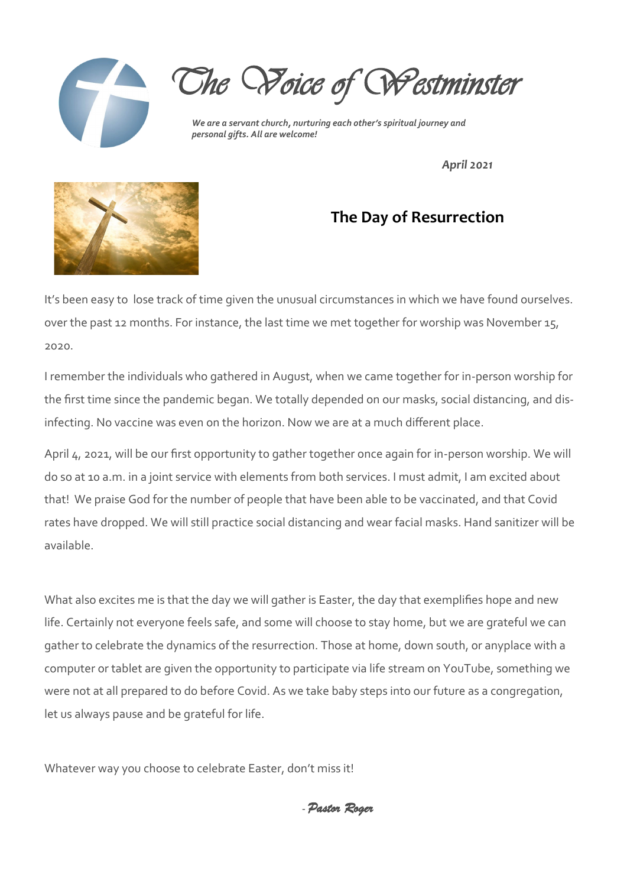

*The Voice of Westminster* 

*We are a servant church, nurturing each other's spiritual journey and personal gifts. All are welcome!*

*April 2021*



### **The Day of Resurrection**

It's been easy to lose track of time given the unusual circumstances in which we have found ourselves. over the past 12 months. For instance, the last time we met together for worship was November 15, 2020.

I remember the individuals who gathered in August, when we came together for in-person worship for the first time since the pandemic began. We totally depended on our masks, social distancing, and disinfecting. No vaccine was even on the horizon. Now we are at a much different place.

April 4, 2021, will be our first opportunity to gather together once again for in-person worship. We will do so at 10 a.m. in a joint service with elements from both services. I must admit, I am excited about that! We praise God for the number of people that have been able to be vaccinated, and that Covid rates have dropped. We will still practice social distancing and wear facial masks. Hand sanitizer will be available.

What also excites me is that the day we will gather is Easter, the day that exemplifies hope and new life. Certainly not everyone feels safe, and some will choose to stay home, but we are grateful we can gather to celebrate the dynamics of the resurrection. Those at home, down south, or anyplace with a computer or tablet are given the opportunity to participate via life stream on YouTube, something we were not at all prepared to do before Covid. As we take baby steps into our future as a congregation, let us always pause and be grateful for life.

Whatever way you choose to celebrate Easter, don't miss it!

- *Pastor Roger*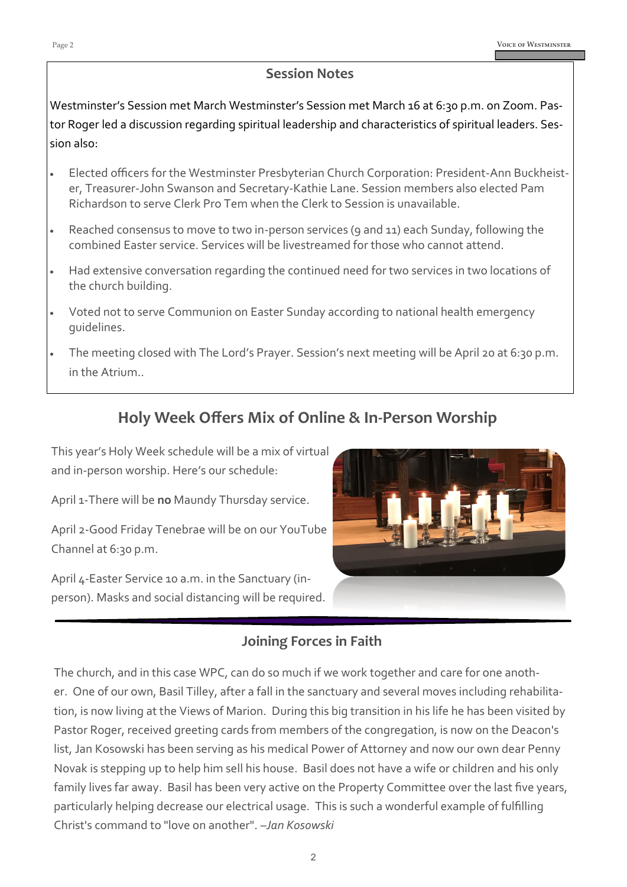#### **Session Notes**

Westminster's Session met March Westminster's Session met March 16 at 6:30 p.m. on Zoom. Pastor Roger led a discussion regarding spiritual leadership and characteristics of spiritual leaders. Session also:

- Elected officers for the Westminster Presbyterian Church Corporation: President-Ann Buckheister, Treasurer-John Swanson and Secretary-Kathie Lane. Session members also elected Pam Richardson to serve Clerk Pro Tem when the Clerk to Session is unavailable.
- Reached consensus to move to two in-person services (9 and 11) each Sunday, following the combined Easter service. Services will be livestreamed for those who cannot attend.
- Had extensive conversation regarding the continued need for two services in two locations of the church building.
- Voted not to serve Communion on Easter Sunday according to national health emergency guidelines.
- The meeting closed with The Lord's Prayer. Session's next meeting will be April 20 at 6:30 p.m. in the Atrium..

### **Holy Week Offers Mix of Online & In-Person Worship**

This year's Holy Week schedule will be a mix of virtual and in-person worship. Here's our schedule:

April 1-There will be **no** Maundy Thursday service.

April 2-Good Friday Tenebrae will be on our YouTube Channel at 6:30 p.m.

April 4-Easter Service 10 a.m. in the Sanctuary (inperson). Masks and social distancing will be required.



### **Joining Forces in Faith**

The church, and in this case WPC, can do so much if we work together and care for one another. One of our own, Basil Tilley, after a fall in the sanctuary and several moves including rehabilitation, is now living at the Views of Marion. During this big transition in his life he has been visited by Pastor Roger, received greeting cards from members of the congregation, is now on the Deacon's list, Jan Kosowski has been serving as his medical Power of Attorney and now our own dear Penny Novak is stepping up to help him sell his house. Basil does not have a wife or children and his only family lives far away. Basil has been very active on the Property Committee over the last five years, particularly helping decrease our electrical usage. This is such a wonderful example of fulfilling Christ's command to "love on another". –*Jan Kosowski*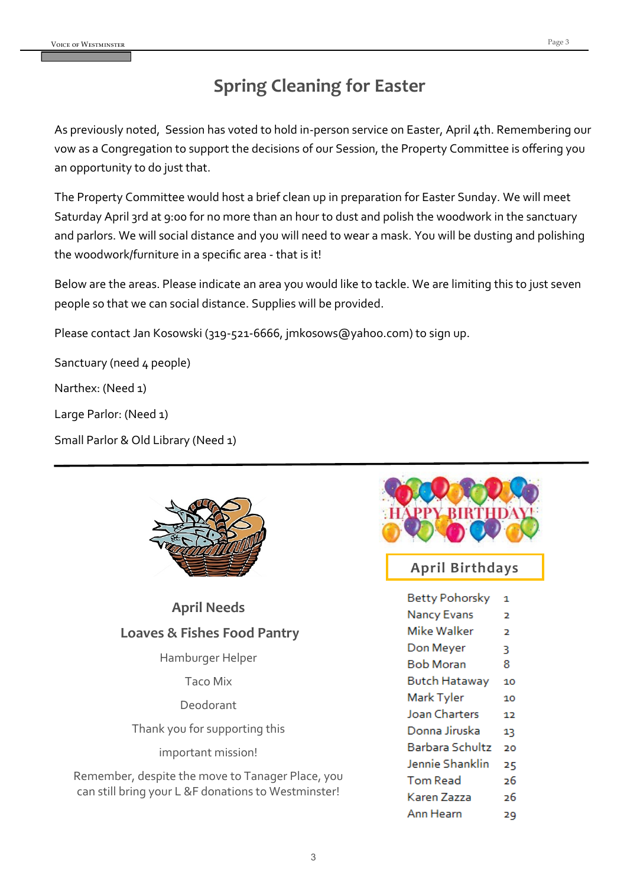### **Spring Cleaning for Easter**

As previously noted, Session has voted to hold in-person service on Easter, April 4th. Remembering our vow as a Congregation to support the decisions of our Session, the Property Committee is offering you an opportunity to do just that.

The Property Committee would host a brief clean up in preparation for Easter Sunday. We will meet Saturday April 3rd at 9:00 for no more than an hour to dust and polish the woodwork in the sanctuary and parlors. We will social distance and you will need to wear a mask. You will be dusting and polishing the woodwork/furniture in a specific area - that is it!

Below are the areas. Please indicate an area you would like to tackle. We are limiting this to just seven people so that we can social distance. Supplies will be provided.

Please contact Jan Kosowski (319-521-6666, jmkosows@yahoo.com) to sign up.

Sanctuary (need 4 people)

Narthex: (Need 1)

Large Parlor: (Need 1)

Small Parlor & Old Library (Need 1)



| <b>April Needs</b>                     |  |  |  |  |  |
|----------------------------------------|--|--|--|--|--|
| <b>Loaves &amp; Fishes Food Pantry</b> |  |  |  |  |  |
| Hamburger Helper                       |  |  |  |  |  |
| Taco Mix                               |  |  |  |  |  |

Deodorant

Thank you for supporting this

important mission!

Remember, despite the move to Tanager Place, you can still bring your L &F donations to Westminster!



### **April Birthdays**

| Betty Pohorsky         | 1  |
|------------------------|----|
| <b>Nancy Evans</b>     | 2  |
| Mike Walker            | 2  |
| Don Meyer              | ٦  |
| Bob Moran              | 8  |
| Butch Hataway          | 10 |
| Mark Tyler             | 10 |
| <b>Joan Charters</b>   | 12 |
| Donna Jiruska          | 13 |
| Barbara Schultz        | 20 |
| <b>Jennie Shanklin</b> | 25 |
| Tom Read               | 26 |
| Karen Zazza            | 26 |
| Ann Hearn              | 29 |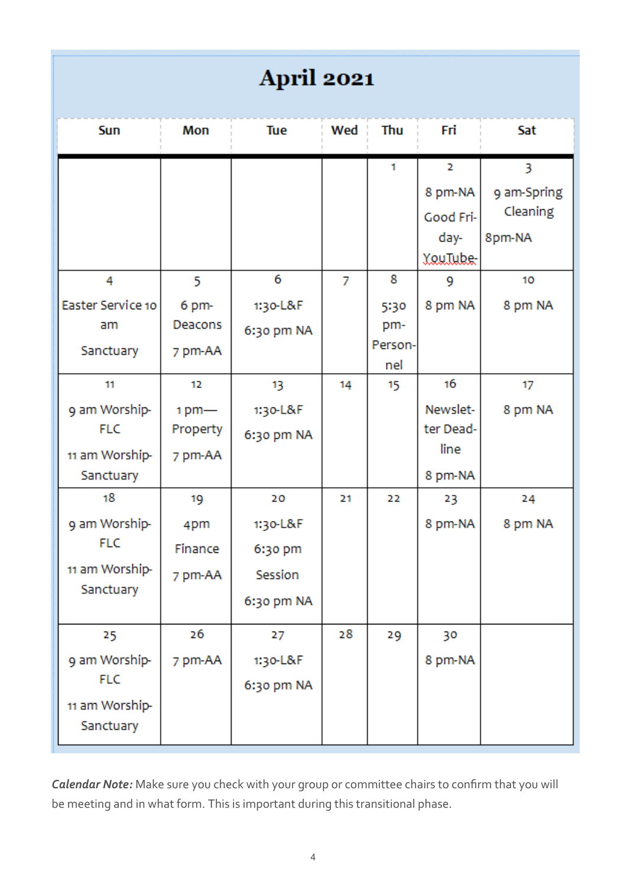## **April 2021**

| Sun                                                              | Mon                                 | Tue                                                | Wed | Thu                   | Fri                                                                 | Sat                                                     |
|------------------------------------------------------------------|-------------------------------------|----------------------------------------------------|-----|-----------------------|---------------------------------------------------------------------|---------------------------------------------------------|
| 4<br>Easter Service 10<br>am                                     | 5<br>6 pm-<br>Deacons               | 6<br>1:30-L&F<br>6:30 pm NA                        | 7   | 1<br>8<br>5:30<br>pm- | 2<br>8 pm-NA<br>Good Fri-<br>day-<br><b>YouTube</b><br>9<br>8 pm NA | 3<br>9 am-Spring<br>Cleaning<br>8pm-NA<br>10<br>8 pm NA |
| Sanctuary                                                        | 7 pm-AA                             |                                                    |     | Person-<br>nel        |                                                                     |                                                         |
| 11<br>9 am Worship-<br><b>FLC</b><br>11 am Worship-<br>Sanctuary | 12<br>$1pm-$<br>Property<br>7 pm-AA | 13<br>1:30-L&F<br>6:30 pm NA                       | 14  | 15                    | 16<br>Newslet-<br>ter Dead-<br>line<br>8 pm-NA                      | 17<br>8 pm NA                                           |
| 18<br>9 am Worship-<br><b>FLC</b><br>11 am Worship-<br>Sanctuary | 19<br>4pm<br>Finance<br>7 pm-AA     | 20<br>1:30-L&F<br>6:30 pm<br>Session<br>6:30 pm NA | 21  | 22                    | 23<br>8 pm-NA                                                       | 24<br>8 pm NA                                           |
| 25<br>9 am Worship-<br><b>FLC</b><br>11 am Worship-<br>Sanctuary | 26<br>7 pm-AA                       | 27<br>1:30-L&F<br>6:30 pm NA                       | 28  | 29                    | 30<br>8 pm-NA                                                       |                                                         |

*Calendar Note:* Make sure you check with your group or committee chairs to confirm that you will be meeting and in what form. This is important during this transitional phase.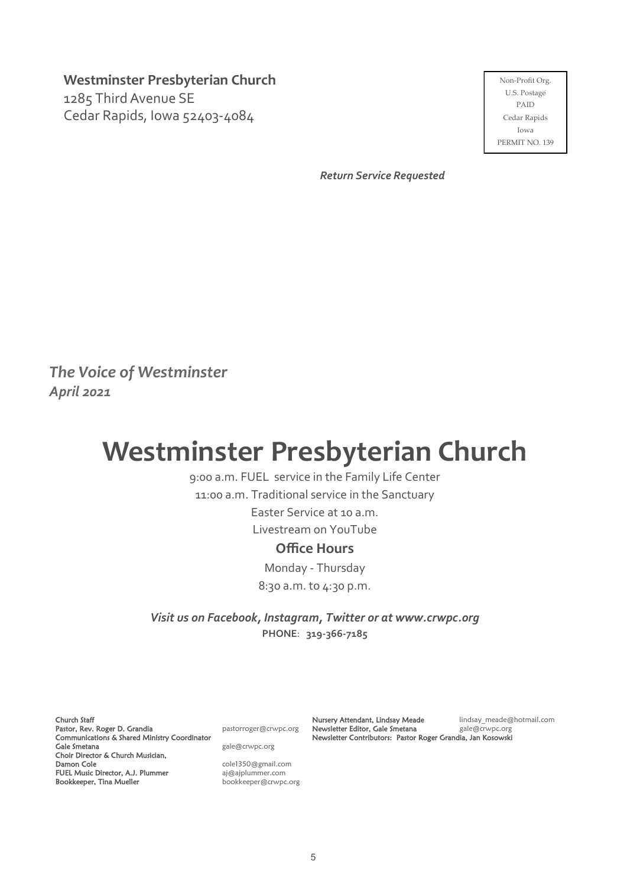**Westminster Presbyterian Church**

1285 Third Avenue SE Cedar Rapids, Iowa 52403-4084

Non-Profit Org. U.S. Postage PAID Cedar Rapids Iowa PERMIT NO. 139

*Return Service Requested*

*The Voice of Westminster April 2021*

# **Westminster Presbyterian Church**

9:00 a.m. FUEL service in the Family Life Center

11:00 a.m. Traditional service in the Sanctuary

Easter Service at 10 a.m.

Livestream on YouTube

#### **Office Hours**

Monday - Thursday 8:30 a.m. to 4:30 p.m.

*Visit us on Facebook, Instagram, Twitter or at www.crwpc.org* **PHONE**: **319-366-7185**

Church Staff Pastor, Rev. Roger D. Grandia entitled pastorroger@crwpc.org Communications & Shared Ministry Coordinator Gale Smetana and a gale and gale and gale and gale and gale and gale and gale and gale and gale and gale and gale and gale and gale and gale and gale and gale and gale and gale and gale and gale and gale and gale and gale Choir Director & Church Musician, Damon Cole **Cole** cole1350@gmail.com FUEL Music Director, A.J. Plummer<br>FUEL Music Director, A.J. Plummer<br> $a^j$ @ajplummer.com Bookkeeper, Tina Mueller bookkeeper@crwpc.org

Nursery Attendant, Lindsay Meade lindsay\_meade@hotmail.com Newsletter Editor, Gale Smetana Frank gale@crwpc.org Newsletter Contributors: Pastor Roger Grandia, Jan Kosowski